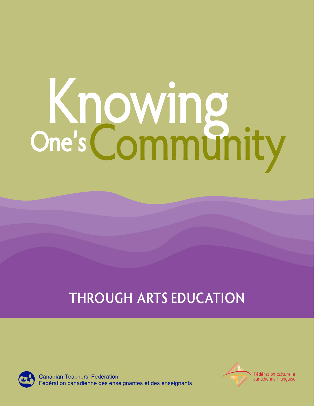# O K ne' n s owing Community

# **THROUGH ARTS EDUCATION**



**Canadian Teachers' Federation** Fédération canadienne des enseignantes et des enseignants



Fédération culturelle canadienne-francaise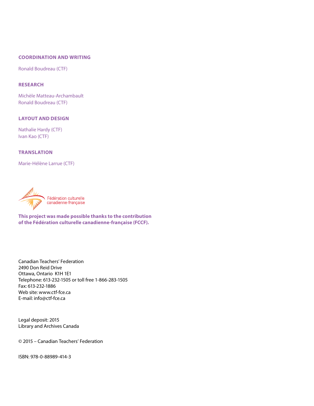#### **COORDINATION AND WRITING**

Ronald Boudreau (CTF)

#### **RESEARCH**

Michèle Matteau-Archambault Ronald Boudreau (CTF)

#### **LAYOUT AND DESIGN**

Nathalie Hardy (CTF) Ivan Kao (CTF)

#### **TRANSLATION**

Marie-Hélène Larrue (CTF)



**This project was made possible thanks to the contribution** 

**of the Fédération culturelle canadienne-française (FCCF).**

Canadian Teachers' Federation 2490 Don Reid Drive Ottawa, Ontario K1H 1E1 Telephone: 613-232-1505 or toll free 1-866-283-1505 Fax: 613-232-1886 Web site: www.ctf-fce.ca E-mail: info@ctf-fce.ca

Legal deposit: 2015 Library and Archives Canada

© 2015 – Canadian Teachers' Federation

ISBN: 978-0-88989-414-3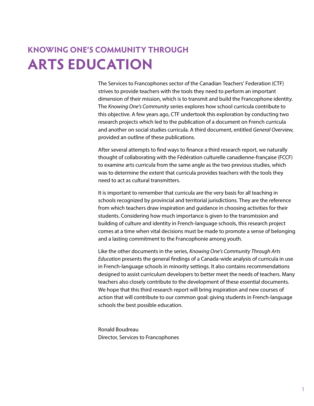## **KNOWING ONE'S COMMUNITY THROUGH ARTS EDUCATION**

The Services to Francophones sector of the Canadian Teachers' Federation (CTF) strives to provide teachers with the tools they need to perform an important dimension of their mission, which is to transmit and build the Francophone identity. The *Knowing One's Community* series explores how school curricula contribute to this objective. A few years ago, CTF undertook this exploration by conducting two research projects which led to the publication of a document on French curricula and another on social studies curricula. A third document, entitled *General Overview*, provided an outline of these publications.

After several attempts to find ways to finance a third research report, we naturally thought of collaborating with the Fédération culturelle canadienne-française (FCCF) to examine arts curricula from the same angle as the two previous studies, which was to determine the extent that curricula provides teachers with the tools they need to act as cultural transmitters.

It is important to remember that curricula are the very basis for all teaching in schools recognized by provincial and territorial jurisdictions. They are the reference from which teachers draw inspiration and guidance in choosing activities for their students. Considering how much importance is given to the transmission and building of culture and identity in French-language schools, this research project comes at a time when vital decisions must be made to promote a sense of belonging and a lasting commitment to the Francophonie among youth.

Like the other documents in the series, *Knowing One's Community Through Arts Education* presents the general findings of a Canada-wide analysis of curricula in use in French-language schools in minority settings. It also contains recommendations designed to assist curriculum developers to better meet the needs of teachers. Many teachers also closely contribute to the development of these essential documents. We hope that this third research report will bring inspiration and new courses of action that will contribute to our common goal: giving students in French-language schools the best possible education.

Ronald Boudreau Director, Services to Francophones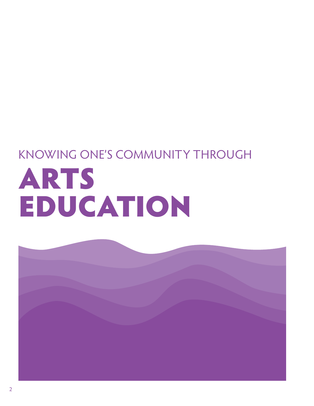# KNO WING O NE'S COMMUNITY THROUGH RT S A EDUCATION

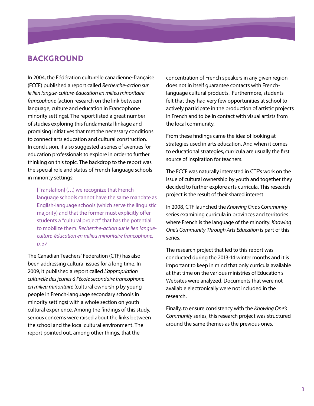## **BACKGROUND**

In 2004, the Fédération culturelle canadienne-française (FCCF) published a report called *Recherche-action sur le lien langue-culture-éducation en milieu minoritaire francophone* (action research on the link between language, culture and education in Francophone minority settings). The report listed a great number of studies exploring this fundamental linkage and promising initiatives that met the necessary conditions to connect arts education and cultural construction. In conclusion, it also suggested a series of avenues for education professionals to explore in order to further thinking on this topic. The backdrop to the report was the special role and status of French-language schools in minority settings:

language schools cannot have the same mandate as English-language schools (which serve the linguistic *e-*to mobilize them. *Recherche-action sur le lien langu* [Translation] (…) we recognize that Frenchmajority) and that the former must explicitly offer students a "cultural project" that has the potential *culture-éducation en milieu minoritaire francophone, p. 57* 

The Canadian Teachers' Federation (CTF) has also been addressing cultural issues for a long time. In 2009, it published a report called *L'appropriation culturelle des jeunes à l'école secondaire francophone en milieu minoritaire* (cultural ownership by young people in French-language secondary schools in minority settings) with a whole section on youth cultural experience. Among the findings of this study, serious concerns were raised about the links between the school and the local cultural environment. The report pointed out, among other things, that the

concentration of French speakers in any given region does not in itself guarantee contacts with Frenchlanguage cultural products. Furthermore, students felt that they had very few opportunities at school to actively participate in the production of artistic projects in French and to be in contact with visual artists from the local community.

From these findings came the idea of looking at strategies used in arts education. And when it comes to educational strategies, curricula are usually the first source of inspiration for teachers.

The FCCF was naturally interested in CTF's work on the issue of cultural ownership by youth and together they decided to further explore arts curricula. This research project is the result of their shared interest.

In 2008, CTF launched the *Knowing One's Community* series examining curricula in provinces and territories where French is the language of the minority. *Knowing One's Community Through Arts Education* is part of this series.

The research project that led to this report was conducted during the 2013-14 winter months and it is important to keep in mind that only curricula available at that time on the various ministries of Education's Websites were analyzed. Documents that were not available electronically were not included in the research.

Finally, to ensure consistency with the *Knowing One's Community* series, this research project was structured around the same themes as the previous ones.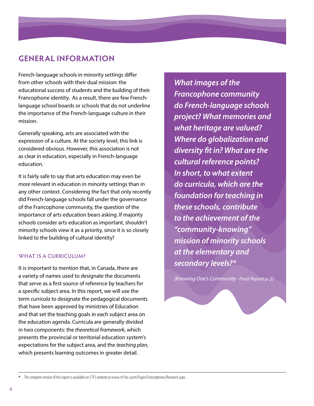## **GENERAL INFORMATION**

French-language schools in minority settings differ from other schools with their dual mission: the educational success of students and the building of their Francophone identity. As a result, there are few Frenchlanguage school boards or schools that do not underline the importance of the French-language culture in their mission.

Generally speaking, arts are associated with the expression of a culture. At the society level, this link is considered obvious. However, this association is not as clear in education, especially in French-language education.

It is fairly safe to say that arts education may even be *more* relevant in education in minority settings than in any other context. Considering the fact that only recently did French-language schools fall under the governance of the Francophone community, the question of the importance of arts education bears asking. If majority schools consider arts education as important, shouldn't minority schools view it as a priority, since it is so closely linked to the building of cultural identity?

#### **WHAT IS A CURRICULUM?**

It is important to mention that, in Canada, there are a variety of names used to designate the documents that serve as a first source of reference by teachers for a specific subject area. In this report, we will use the term *curricula* to designate the pedagogical documents that have been approved by ministries of Education and that set the teaching goals in each subject area on the education agenda. Curricula are generally divided in two components: the *theoretical framework*, which presents the provincial or territorial education system's expectations for the subject area, and the *teaching plan*, which presents learning outcomes in greater detail.

*What images of the Francophone community do French-language schools project? What memories and what heritage are valued? Where do globalization and diversity fit in? What are the cultural reference points? In short, to what extent do curricula, which are the foundation for teaching in these schools, contribute to the achievement of the "community-knowing" mission of minority schools at the elementary and secondary levels?\**

*[Knowing One's Community - Final Report p. 2]*

The complete version of this report is available on CTF's website at www.ctf-fce.ca/en/Pages/Francophones/Research.aspx.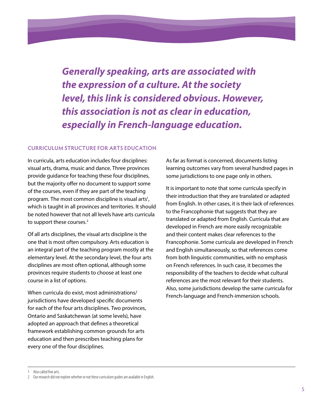*Generally speaking, arts are associated with the expression of a culture. At the society level, this link is considered obvious. However, this association is not as clear in education, especially in French-language education.*

#### **CURRICULUM STRUCTURE FOR ARTS EDUCATION**

In curricula, arts education includes four disciplines: visual arts, drama, music and dance. Three provinces provide guidance for teaching these four disciplines, but the majority offer no document to support some of the courses, even if they are part of the teaching program. The most common discipline is visual arts<sup>1</sup>, which is taught in all provinces and territories. It should be noted however that not all levels have arts curricula to support these courses.<sup>2</sup>

Of all arts disciplines, the visual arts discipline is the one that is most often compulsory. Arts education is an integral part of the teaching program mostly at the elementary level. At the secondary level, the four arts disciplines are most often optional, although some provinces require students to choose at least one course in a list of options.

When curricula do exist, most administrations/ jurisdictions have developed specific documents for each of the four arts disciplines. Two provinces, Ontario and Saskatchewan (at some levels), have adopted an approach that defines a theoretical framework establishing common grounds for arts education and then prescribes teaching plans for every one of the four disciplines.

As far as format is concerned, documents listing learning outcomes vary from several hundred pages in some jurisdictions to one page only in others.

It is important to note that some curricula specify in their introduction that they are translated or adapted from English. In other cases, it is their lack of references to the Francophonie that suggests that they are translated or adapted from English. Curricula that are developed in French are more easily recognizable and their content makes clear references to the Francophonie. Some curricula are developed in French and English simultaneously, so that references come from both linguistic communities, with no emphasis on French references. In such case, it becomes the responsibility of the teachers to decide what cultural references are the most relevant for their students. Also, some jurisdictions develop the same curricula for French-language and French-immersion schools.

<sup>1</sup> Also called fine arts.

<sup>2</sup> Our research did not explore whether or not these curriculum guides are available in English.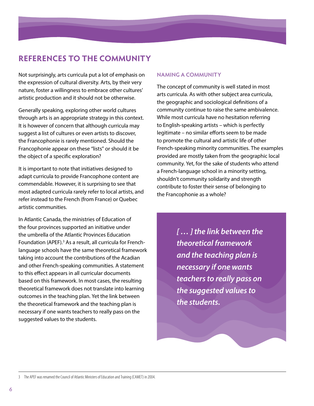## **REFERENCES TO THE COMMUNITY**

Not surprisingly, arts curricula put a lot of emphasis on the expression of cultural diversity. Arts, by their very nature, foster a willingness to embrace other cultures' artistic production and it should not be otherwise.

Generally speaking, exploring other world cultures through arts is an appropriate strategy in this context. It is however of concern that although curricula may suggest a list of cultures or even artists to discover, the Francophonie is rarely mentioned. Should the Francophonie appear on these "lists" or should it be the object of a specific exploration?

It is important to note that initiatives designed to adapt curricula to provide Francophone content are commendable. However, it is surprising to see that most adapted curricula rarely refer to local artists, and refer instead to the French (from France) or Quebec artistic communities.

In Atlantic Canada, the ministries of Education of the four provinces supported an initiative under the umbrella of the Atlantic Provinces Education Foundation (APEF).<sup>3</sup> As a result, all curricula for Frenchlanguage schools have the same theoretical framework taking into account the contributions of the Acadian and other French-speaking communities. A statement to this effect appears in all curricular documents based on this framework. In most cases, the resulting theoretical framework does not translate into learning outcomes in the teaching plan. Yet the link between the theoretical framework and the teaching plan is necessary if one wants teachers to really pass on the suggested values to the students.

### **NAMING A COMMUNITY**

The concept of community is well stated in most arts curricula. As with other subject area curricula, the geographic and sociological definitions of a community continue to raise the same ambivalence. While most curricula have no hesitation referring to English-speaking artists – which is perfectly legitimate – no similar efforts seem to be made to promote the cultural and artistic life of other French-speaking minority communities. The example s provided are mostly taken from the geographic local community. Yet, for the sake of students who attend a French-language school in a minority setting, shouldn't community solidarity and strength contribute to foster their sense of belonging to the Francophonie as a whole?

> *[ … ] the link between the theoretical framework and the teaching plan is necessary if one wants teachers to really pass on the suggested values to the students.*

3 The APEF was renamed the Council of Atlantic Ministers of Education and Training (CAMET) in 2004.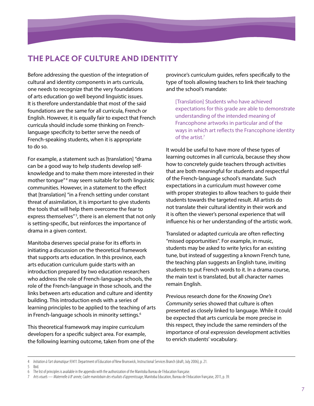## **THE PLACE OF CULTURE AND IDENTITY**

Before addressing the question of the integration of cultural and identity components in arts curricula, one needs to recognize that the very foundations of arts education go well beyond linguistic issues. It is therefore understandable that most of the said foundations are the same for all curricula, French or English. However, it is equally fair to expect that French curricula should include some thinking on Frenchlanguage specificity to better serve the needs of French-speaking students, when it is appropriate to do so.

For example, a statement such as [translation] "drama can be a good way to help students develop selfknowledge and to make them more interested in their mother tongue"<sup>4</sup> may seem suitable for both linguistic communities. However, in a statement to the effect that [translation] "in a French setting under constant threat of assimilation, it is important to give students the tools that will help them overcome the fear to express themselves"<sup>5</sup>, there is an element that not only is setting-specific, but reinforces the importance of drama in a given context.

Manitoba deserves special praise for its efforts in initiating a discussion on the theoretical framework that supports arts education. In this province, each arts education curriculum guide starts with an introduction prepared by two education researchers who address the role of French-language schools, the role of the French-language in those schools, and the links between arts education and culture and identity building. This introduction ends with a series of learning principles to be applied to the teaching of arts in French-language schools in minority settings.<sup>6</sup>

This theoretical framework may inspire curriculum developers for a specific subject area. For example, the following learning outcome, taken from one of the province's curriculum guides, refers specifically to the type of tools allowing teachers to link their teaching and the school's mandate:

 [ Translation] Students who have achieved expectations for this grade are able to demonstrate understanding of the intended meaning of Francophone artworks in particular and of the ways in which art reflects the Francophone identity of the artist.7

It would be useful to have more of these types of learning outcomes in all curricula, because they show how to concretely guide teachers through activities that are both meaningful for students and respectful of the French-language school's mandate. Such expectations in a curriculum must however come with proper strategies to allow teachers to guide their students towards the targeted result. All artists do not translate their cultural identity in their work and it is often the viewer's personal experience that will influence his or her understanding of the artistic work.

Translated or adapted curricula are often reflecting "missed opportunities". For example, in music, students may be asked to write lyrics for an existing tune, but instead of suggesting a known French tune, the teaching plan suggests an English tune, inviting students to put French words to it. In a drama course, the main text is translated, but all character names remain English.

Previous research done for the *Knowing One's Community* series showed that culture is often presented as closely linked to language. While it could be expected that arts curricula be more precise in this respect, they include the same reminders of the importance of oral expression development activities to enrich students' vocabulary.

5 Ibid.

<sup>4</sup> *Initiation à l'art dramatique 93411*. Department of Education of New Brunswick, Instructional Services Branch (draft, July 2006), p. 21.

<sup>6</sup> The list of principles is available in the appendix with the authorization of the Manitoba Bureau de l'éducation française.

<sup>7</sup> *Arts visuels — Maternelle à 8e année, Cadre manitobain des résultats d'apprentissage*, Manitoba Education, Bureau de l'éducation française, 2011, p. 39.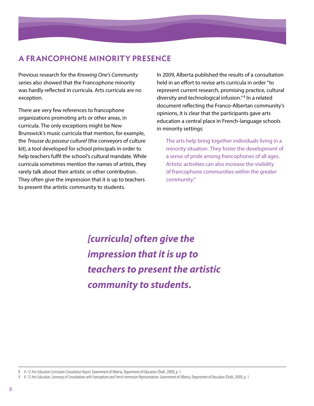## **A FRANCOPHONE MINORITY PRESENCE**

Previous research for the *Knowing One's Community* series also showed that the Francophone minority was hardly reflected in curricula. Arts curricula are no exception.

There are very few references to francophone organizations promoting arts or other areas, in curricula. The only exceptions might be New Brunswick's music curricula that mention, for example, the *Trousse du passeur culturel* (the conveyors of culture kit), a tool developed for school principals in order to help teachers fulfil the school's cultural mandate. While curricula sometimes mention the names of artists, they rarely talk about their artistic or other contribution. They often give the impression that it is up to teachers to present the artistic community to students.

In 2009, Alberta published the results of a consultation held in an effort to revise arts curricula in order "to represent current research, promising practice, cultural diversity and technological infusion."<sup>8</sup> In a related document reflecting the Franco-Albertan community's opinions, it is clear that the participants gave arts education a central place in French-language schools in minority settings:

The arts help bring together individuals living in a minority situation. They foster the development of a sense of pride among francophones of all ages. Artistic activities can also increase the visibility of francophone communities within the greater community.9

*[curricula] often give the impression that it is up to teachers to present the artistic community to students.*

<sup>8</sup> *K–12 Arts Education Curriculum Consultation Report*. Government of Alberta, Department of Education (Draft, 2009), p. 1.

<sup>9</sup> *K–12 Arts Education, Summary of Consultations with Francophone and French Immersion Representatives*. Government of Alberta, Department of Education (Draft, 2009), p. 1.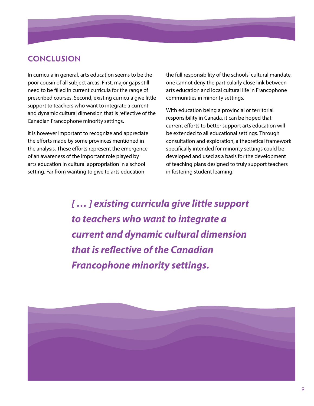## **CONCLUSION**

In curricula in general, arts education seems to be the poor cousin of all subject areas. First, major gaps still need to be filled in current curricula for the range of prescribed courses. Second, existing curricula give little support to teachers who want to integrate a current and dynamic cultural dimension that is reflective of the Canadian Francophone minority settings.

It is however important to recognize and appreciate the efforts made by some provinces mentioned in the analysis. These efforts represent the emergence of an awareness of the important role played by arts education in cultural appropriation in a school setting. Far from wanting to give to arts education

the full responsibility of the schools' cultural mandate, one cannot deny the particularly close link between arts education and local cultural life in Francophone communities in minority settings.

With education being a provincial or territorial responsibility in Canada, it can be hoped that current efforts to better support arts education will be extended to all educational settings. Through consultation and exploration, a theoretical framework specifically intended for minority settings could be developed and used as a basis for the development of teaching plans designed to truly support teachers in fostering student learning.

*[ … ] existing curricula give little support to teachers who want to integrate a current and dynamic cultural dimension that is reflective of the Canadian Francophone minority settings.*

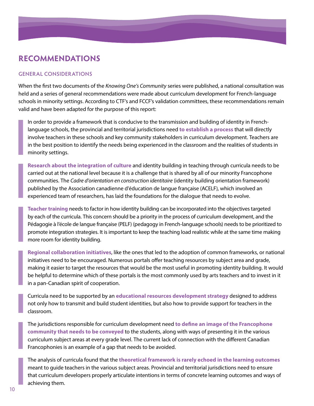## **RECOMMENDATIONS**

#### **GENERAL CONSIDERATIONS**

When the first two documents of the *Knowing One's Community* series were published, a national consultation was held and a series of general recommendations were made about curriculum development for French-language schools in minority settings. According to CTF's and FCCF's validation committees, these recommendations remain valid and have been adapted for the purpose of this report:

In order to provide a framework that is conducive to the transmission and building of identity in Frenchlanguage schools, the provincial and territorial jurisdictions need to establish a process that will directly involve teachers in these schools and key community stakeholders in curriculum development. Teachers are in the best position to identify the needs being experienced in the classroom and the realities of students in minority settings.

**Research about the integration of culture** and identity building in teaching through curricula needs to be carried out at the national level because it is a challenge that is shared by all of our minority Francophone communities. The Cadre d'orientation en construction identitaire (identity building orientation framework) published by the Association canadienne d'éducation de langue française (ACELF), which involved an experienced team of researchers, has laid the foundations for the dialogue that needs to evolve.

Teacher training needs to factor in how identity building can be incorporated into the objectives targeted by each of the curricula. This concern should be a priority in the process of curriculum development, and the Pédagogie à l'école de langue française (PELF) (pedagogy in French-language schools) needs to be prioritized to promote integration strategies. It is important to keep the teaching load realistic while at the same time making more room for identity building.

Regional collaboration initiatives, like the ones that led to the adoption of common frameworks, or national initiatives need to be encouraged. Numerous portals offer teaching resources by subject area and grade, making it easier to target the resources that would be the most useful in promoting identity building. It would be helpful to determine which of these portals is the most commonly used by arts teachers and to invest in it in a pan-Canadian spirit of cooperation.

Curricula need to be supported by an educational resources development strategy designed to address not only how to transmit and build student identities, but also how to provide support for teachers in the classroom.

The jurisdictions responsible for curriculum development need to define an image of the Francophone community that needs to be conveyed to the students, along with ways of presenting it in the various curriculum subject areas at every grade level. The current lack of connection with the different Canadian Francophonies is an example of a gap that needs to be avoided.

The analysis of curricula found that the theoretical framework is rarely echoed in the learning outcomes meant to quide teachers in the various subject areas. Provincial and territorial jurisdictions need to ensure that curriculum developers properly articulate intentions in terms of concrete learning outcomes and ways of achieving them.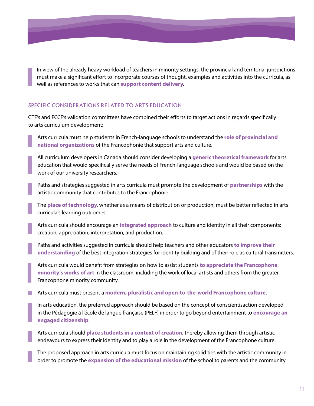In view of the already heavy workload of teachers in minority settings, the provincial and territorial jurisdictions must make a significant effort to incorporate courses of thought, examples and activities into the curricula, as well as references to works that can support content delivery.

#### **SPECIFIC CONSIDERATIONS RELATED TO ARTS EDUCATION**

CTF's and FCCF's validation committees have combined their efforts to target actions in regards specifically to arts curriculum development:

 A rts curricula must help students in French-language schools to understand the **role of provincial and national organizations** of the Francophonie that support arts and culture.

 A ll curriculum developers in Canada should consider developing a **generic theoretical framework** for arts education that would specifically serve the needs of French-language schools and would be based on the work of our university researchers.

Paths and strategies suggested in arts curricula must promote the development of **partnerships** with the artistic community that contributes to the Francophonie

The **place of technology**, whether as a means of distribution or production, must be better reflected in arts curricula's learning outcomes.

 A rts curricula should encourage an **integrated approach** to culture and identity in all their components: creation, appreciation, interpretation, and production.

Paths and activities suggested in curricula should help teachers and other educators to improve their **understanding** of the best integration strategies for identity building and of their role as cultural transmitters.

 A rts curricula would benefit from strategies on how to assist students **to appreciate the Francophone minority's works of art** in the classroom, including the work of local artists and others from the greater Francophone minority community.

**A** Arts curricula must present a **modern, pluralistic and open-to-the-world Francophone culture.** 

In arts education, the preferred approach should be based on the concept of conscientisaction developed in the Pédagogie à l'école de langue française (PELF) in order to go beyond entertainment to **encourage an engaged citizenship**.

 A rts curricula should **place students in a context of creation**, thereby allowing them through artistic endeavours to express their identity and to play a role in the development of the Francophone culture.

The proposed approach in arts curricula must focus on maintaining solid ties with the artistic community in order to promote the **expansion of the educational mission** of the school to parents and the community.